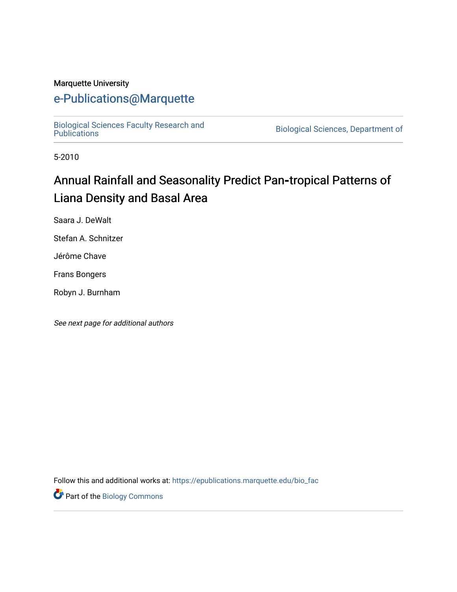#### Marquette University

# [e-Publications@Marquette](https://epublications.marquette.edu/)

[Biological Sciences Faculty Research and](https://epublications.marquette.edu/bio_fac) 

Biological Sciences, Department of

5-2010

# Annual Rainfall and Seasonality Predict Pan-tropical Patterns of Liana Density and Basal Area

Saara J. DeWalt

Stefan A. Schnitzer

Jérôme Chave

Frans Bongers

Robyn J. Burnham

See next page for additional authors

Follow this and additional works at: [https://epublications.marquette.edu/bio\\_fac](https://epublications.marquette.edu/bio_fac?utm_source=epublications.marquette.edu%2Fbio_fac%2F729&utm_medium=PDF&utm_campaign=PDFCoverPages) 

Part of the [Biology Commons](http://network.bepress.com/hgg/discipline/41?utm_source=epublications.marquette.edu%2Fbio_fac%2F729&utm_medium=PDF&utm_campaign=PDFCoverPages)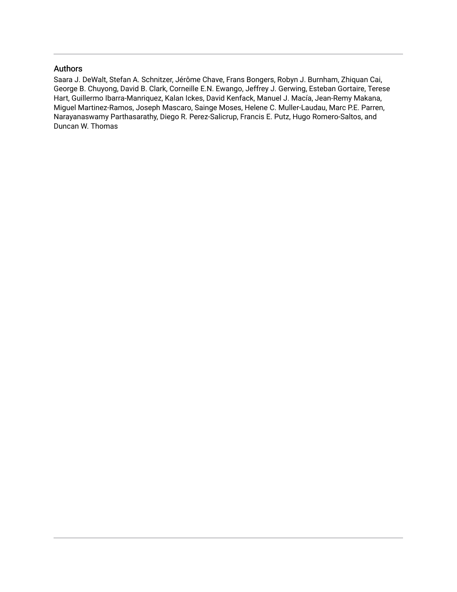#### Authors

Saara J. DeWalt, Stefan A. Schnitzer, Jérôme Chave, Frans Bongers, Robyn J. Burnham, Zhiquan Cai, George B. Chuyong, David B. Clark, Corneille E.N. Ewango, Jeffrey J. Gerwing, Esteban Gortaire, Terese Hart, Guillermo Ibarra-Manriquez, Kalan Ickes, David Kenfack, Manuel J. Macía, Jean-Remy Makana, Miguel Martinez-Ramos, Joseph Mascaro, Sainge Moses, Helene C. Muller-Laudau, Marc P.E. Parren, Narayanaswamy Parthasarathy, Diego R. Perez-Salicrup, Francis E. Putz, Hugo Romero-Saltos, and Duncan W. Thomas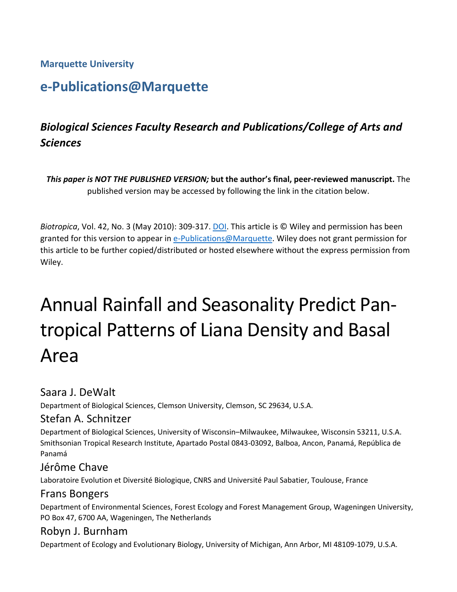**Marquette University**

# **e-Publications@Marquette**

# *Biological Sciences Faculty Research and Publications/College of Arts and Sciences*

*This paper is NOT THE PUBLISHED VERSION;* **but the author's final, peer-reviewed manuscript.** The published version may be accessed by following the link in the citation below.

*Biotropica*, Vol. 42, No. 3 (May 2010): 309-317. DOI. This article is © Wiley and permission has been granted for this version to appear in [e-Publications@Marquette.](http://epublications.marquette.edu/) Wiley does not grant permission for this article to be further copied/distributed or hosted elsewhere without the express permission from Wiley.

# Annual Rainfall and Seasonality Predict Pantropical Patterns of Liana Density and Basal Area

# Saara J. DeWalt

Department of Biological Sciences, Clemson University, Clemson, SC 29634, U.S.A.

# Stefan A. Schnitzer

Department of Biological Sciences, University of Wisconsin–Milwaukee, Milwaukee, Wisconsin 53211, U.S.A. Smithsonian Tropical Research Institute, Apartado Postal 0843-03092, Balboa, Ancon, Panamá, República de Panamá

# Jérôme Chave

Laboratoire Evolution et Diversité Biologique, CNRS and Université Paul Sabatier, Toulouse, France

# Frans Bongers

Department of Environmental Sciences, Forest Ecology and Forest Management Group, Wageningen University, PO Box 47, 6700 AA, Wageningen, The Netherlands

# Robyn J. Burnham

Department of Ecology and Evolutionary Biology, University of Michigan, Ann Arbor, MI 48109-1079, U.S.A.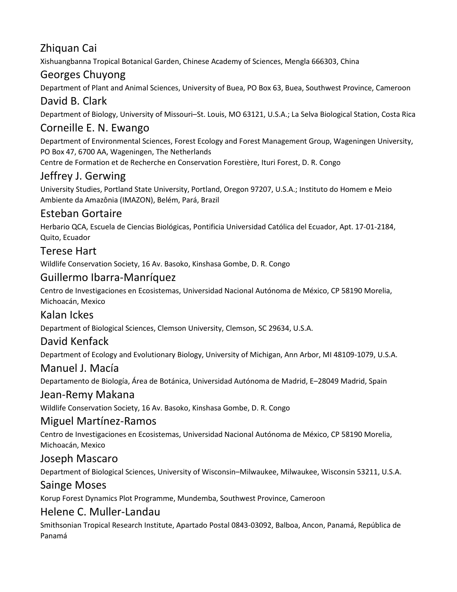# Zhiquan Cai

Xishuangbanna Tropical Botanical Garden, Chinese Academy of Sciences, Mengla 666303, China

# Georges Chuyong

Department of Plant and Animal Sciences, University of Buea, PO Box 63, Buea, Southwest Province, Cameroon

# David B. Clark

Department of Biology, University of Missouri–St. Louis, MO 63121, U.S.A.; La Selva Biological Station, Costa Rica

# Corneille E. N. Ewango

Department of Environmental Sciences, Forest Ecology and Forest Management Group, Wageningen University, PO Box 47, 6700 AA, Wageningen, The Netherlands Centre de Formation et de Recherche en Conservation Forestière, Ituri Forest, D. R. Congo

# Jeffrey J. Gerwing

University Studies, Portland State University, Portland, Oregon 97207, U.S.A.; Instituto do Homem e Meio Ambiente da Amazônia (IMAZON), Belém, Pará, Brazil

# Esteban Gortaire

Herbario QCA, Escuela de Ciencias Biológicas, Pontificia Universidad Católica del Ecuador, Apt. 17-01-2184, Quito, Ecuador

# Terese Hart

Wildlife Conservation Society, 16 Av. Basoko, Kinshasa Gombe, D. R. Congo

# Guillermo Ibarra-Manríquez

Centro de Investigaciones en Ecosistemas, Universidad Nacional Autónoma de México, CP 58190 Morelia, Michoacán, Mexico

# Kalan Ickes

Department of Biological Sciences, Clemson University, Clemson, SC 29634, U.S.A.

# David Kenfack

Department of Ecology and Evolutionary Biology, University of Michigan, Ann Arbor, MI 48109-1079, U.S.A.

#### Manuel J. Macía

Departamento de Biología, Área de Botánica, Universidad Autónoma de Madrid, E–28049 Madrid, Spain

#### Jean-Remy Makana

Wildlife Conservation Society, 16 Av. Basoko, Kinshasa Gombe, D. R. Congo

#### Miguel Martínez-Ramos

Centro de Investigaciones en Ecosistemas, Universidad Nacional Autónoma de México, CP 58190 Morelia, Michoacán, Mexico

#### Joseph Mascaro

Department of Biological Sciences, University of Wisconsin–Milwaukee, Milwaukee, Wisconsin 53211, U.S.A.

#### Sainge Moses

Korup Forest Dynamics Plot Programme, Mundemba, Southwest Province, Cameroon

# Helene C. Muller-Landau

Smithsonian Tropical Research Institute, Apartado Postal 0843-03092, Balboa, Ancon, Panamá, República de Panamá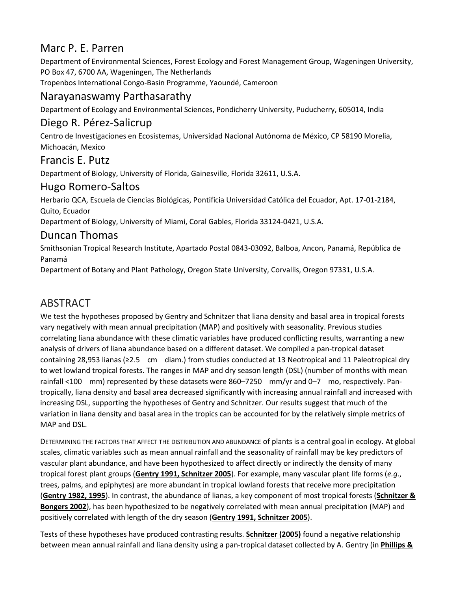# Marc P. E. Parren

Department of Environmental Sciences, Forest Ecology and Forest Management Group, Wageningen University, PO Box 47, 6700 AA, Wageningen, The Netherlands

Tropenbos International Congo-Basin Programme, Yaoundé, Cameroon

# Narayanaswamy Parthasarathy

Department of Ecology and Environmental Sciences, Pondicherry University, Puducherry, 605014, India

#### Diego R. Pérez-Salicrup

Centro de Investigaciones en Ecosistemas, Universidad Nacional Autónoma de México, CP 58190 Morelia, Michoacán, Mexico

#### Francis E. Putz

Department of Biology, University of Florida, Gainesville, Florida 32611, U.S.A.

#### Hugo Romero-Saltos

Herbario QCA, Escuela de Ciencias Biológicas, Pontificia Universidad Católica del Ecuador, Apt. 17-01-2184, Quito, Ecuador

Department of Biology, University of Miami, Coral Gables, Florida 33124-0421, U.S.A.

### Duncan Thomas

Smithsonian Tropical Research Institute, Apartado Postal 0843-03092, Balboa, Ancon, Panamá, República de Panamá

Department of Botany and Plant Pathology, Oregon State University, Corvallis, Oregon 97331, U.S.A.

# ABSTRACT

We test the hypotheses proposed by Gentry and Schnitzer that liana density and basal area in tropical forests vary negatively with mean annual precipitation (MAP) and positively with seasonality. Previous studies correlating liana abundance with these climatic variables have produced conflicting results, warranting a new analysis of drivers of liana abundance based on a different dataset. We compiled a pan-tropical dataset containing 28,953 lianas (≥2.5 cm diam.) from studies conducted at 13 Neotropical and 11 Paleotropical dry to wet lowland tropical forests. The ranges in MAP and dry season length (DSL) (number of months with mean rainfall <100 mm) represented by these datasets were 860–7250 mm/yr and 0–7 mo, respectively. Pantropically, liana density and basal area decreased significantly with increasing annual rainfall and increased with increasing DSL, supporting the hypotheses of Gentry and Schnitzer. Our results suggest that much of the variation in liana density and basal area in the tropics can be accounted for by the relatively simple metrics of MAP and DSL.

DETERMINING THE FACTORS THAT AFFECT THE DISTRIBUTION AND ABUNDANCE of plants is a central goal in ecology. At global scales, climatic variables such as mean annual rainfall and the seasonality of rainfall may be key predictors of vascular plant abundance, and have been hypothesized to affect directly or indirectly the density of many tropical forest plant groups (**[Gentry 1991, Schnitzer 2005](https://onlinelibrary.wiley.com/doi/full/10.1111/j.1744-7429.2009.00589.x#b19%20#b47)**). For example, many vascular plant life forms (*e.g*., trees, palms, and epiphytes) are more abundant in tropical lowland forests that receive more precipitation (**[Gentry 1982, 1995](https://onlinelibrary.wiley.com/doi/full/10.1111/j.1744-7429.2009.00589.x#b17%20#b20)**). In contrast, the abundance of lianas, a key component of most tropical forests (**[Schnitzer &](https://onlinelibrary.wiley.com/doi/full/10.1111/j.1744-7429.2009.00589.x#b48)  [Bongers 2002](https://onlinelibrary.wiley.com/doi/full/10.1111/j.1744-7429.2009.00589.x#b48)**), has been hypothesized to be negatively correlated with mean annual precipitation (MAP) and positively correlated with length of the dry season (**[Gentry 1991, Schnitzer 2005](https://onlinelibrary.wiley.com/doi/full/10.1111/j.1744-7429.2009.00589.x#b19%20#b47)**).

Tests of these hypotheses have produced contrasting results. **[Schnitzer \(2005\)](https://onlinelibrary.wiley.com/doi/full/10.1111/j.1744-7429.2009.00589.x#b47)** found a negative relationship between mean annual rainfall and liana density using a pan-tropical dataset collected by A. Gentry (in **[Phillips &](https://onlinelibrary.wiley.com/doi/full/10.1111/j.1744-7429.2009.00589.x#b35)**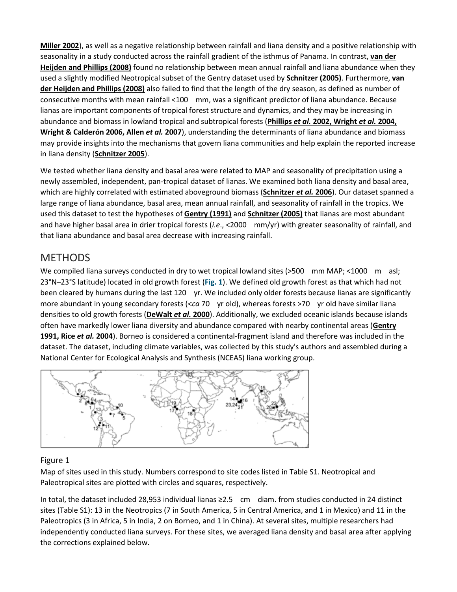**[Miller 2002](https://onlinelibrary.wiley.com/doi/full/10.1111/j.1744-7429.2009.00589.x#b35)**), as well as a negative relationship between rainfall and liana density and a positive relationship with seasonality in a study conducted across the rainfall gradient of the isthmus of Panama. In contrast, **[van der](https://onlinelibrary.wiley.com/doi/full/10.1111/j.1744-7429.2009.00589.x#b54)  [Heijden and Phillips \(2008\)](https://onlinelibrary.wiley.com/doi/full/10.1111/j.1744-7429.2009.00589.x#b54)** found no relationship between mean annual rainfall and liana abundance when they used a slightly modified Neotropical subset of the Gentry dataset used by **[Schnitzer \(2005\)](https://onlinelibrary.wiley.com/doi/full/10.1111/j.1744-7429.2009.00589.x#b47)**. Furthermore, **[van](https://onlinelibrary.wiley.com/doi/full/10.1111/j.1744-7429.2009.00589.x#b54)  [der Heijden and Phillips \(2008\)](https://onlinelibrary.wiley.com/doi/full/10.1111/j.1744-7429.2009.00589.x#b54)** also failed to find that the length of the dry season, as defined as number of consecutive months with mean rainfall <100 mm, was a significant predictor of liana abundance. Because lianas are important components of tropical forest structure and dynamics, and they may be increasing in abundance and biomass in lowland tropical and subtropical forests (**Phillips** *et al.* **[2002, Wright](https://onlinelibrary.wiley.com/doi/full/10.1111/j.1744-7429.2009.00589.x#b36%20#b56%20#b55%20#b1)** *et al.* **2004, [Wright & Calderón 2006, Allen](https://onlinelibrary.wiley.com/doi/full/10.1111/j.1744-7429.2009.00589.x#b36%20#b56%20#b55%20#b1)** *et al.* **2007**), understanding the determinants of liana abundance and biomass may provide insights into the mechanisms that govern liana communities and help explain the reported increase in liana density (**[Schnitzer 2005](https://onlinelibrary.wiley.com/doi/full/10.1111/j.1744-7429.2009.00589.x#b47)**).

We tested whether liana density and basal area were related to MAP and seasonality of precipitation using a newly assembled, independent, pan-tropical dataset of lianas. We examined both liana density and basal area, which are highly correlated with estimated aboveground biomass (**[Schnitzer](https://onlinelibrary.wiley.com/doi/full/10.1111/j.1744-7429.2009.00589.x#b51)** *et al.* **2006**). Our dataset spanned a large range of liana abundance, basal area, mean annual rainfall, and seasonality of rainfall in the tropics. We used this dataset to test the hypotheses of **[Gentry \(1991\)](https://onlinelibrary.wiley.com/doi/full/10.1111/j.1744-7429.2009.00589.x#b19)** and **[Schnitzer \(2005\)](https://onlinelibrary.wiley.com/doi/full/10.1111/j.1744-7429.2009.00589.x#b47)** that lianas are most abundant and have higher basal area in drier tropical forests (*i.e*., <2000 mm/yr) with greater seasonality of rainfall, and that liana abundance and basal area decrease with increasing rainfall.

# METHODS

We compiled liana surveys conducted in dry to wet tropical lowland sites (>500 mm MAP; <1000 m asl; 23°N–23°S latitude) located in old growth forest (**[Fig. 1](https://onlinelibrary.wiley.com/doi/full/10.1111/j.1744-7429.2009.00589.x#f1)**). We defined old growth forest as that which had not been cleared by humans during the last 120 yr. We included only older forests because lianas are significantly more abundant in young secondary forests (<*ca* 70 yr old), whereas forests >70 yr old have similar liana densities to old growth forests (**[DeWalt](https://onlinelibrary.wiley.com/doi/full/10.1111/j.1744-7429.2009.00589.x#b14)** *et al.* **2000**). Additionally, we excluded oceanic islands because islands often have markedly lower liana diversity and abundance compared with nearby continental areas (**[Gentry](https://onlinelibrary.wiley.com/doi/full/10.1111/j.1744-7429.2009.00589.x#b19%20#b45)  [1991, Rice](https://onlinelibrary.wiley.com/doi/full/10.1111/j.1744-7429.2009.00589.x#b19%20#b45)** *et al.* **2004**). Borneo is considered a continental-fragment island and therefore was included in the dataset. The dataset, including climate variables, was collected by this study's authors and assembled during a National Center for Ecological Analysis and Synthesis (NCEAS) liana working group.



#### Figure 1

Map of sites used in this study. Numbers correspond to site codes listed in Table S1. Neotropical and Paleotropical sites are plotted with circles and squares, respectively.

In total, the dataset included 28,953 individual lianas ≥2.5 cm diam. from studies conducted in 24 distinct sites (Table S1): 13 in the Neotropics (7 in South America, 5 in Central America, and 1 in Mexico) and 11 in the Paleotropics (3 in Africa, 5 in India, 2 on Borneo, and 1 in China). At several sites, multiple researchers had independently conducted liana surveys. For these sites, we averaged liana density and basal area after applying the corrections explained below.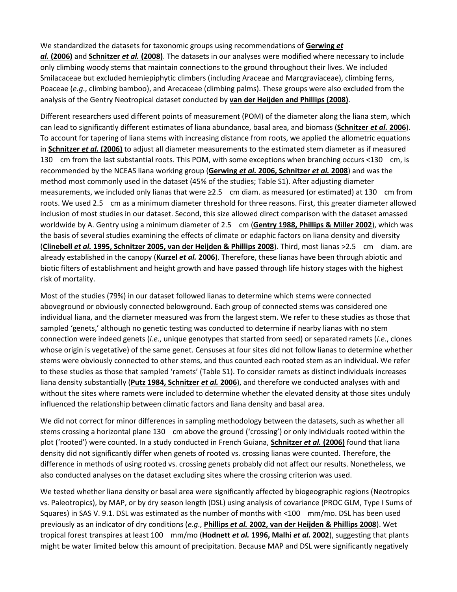We standardized the datasets for taxonomic groups using recommendations of **[Gerwing](https://onlinelibrary.wiley.com/doi/full/10.1111/j.1744-7429.2009.00589.x#b21)** *et al.* **[\(2006\)](https://onlinelibrary.wiley.com/doi/full/10.1111/j.1744-7429.2009.00589.x#b21)** and **[Schnitzer](https://onlinelibrary.wiley.com/doi/full/10.1111/j.1744-7429.2009.00589.x#b52)** *et al.* **(2008)**. The datasets in our analyses were modified where necessary to include only climbing woody stems that maintain connections to the ground throughout their lives. We included Smilacaceae but excluded hemiepiphytic climbers (including Araceae and Marcgraviaceae), climbing ferns, Poaceae (*e.g*., climbing bamboo), and Arecaceae (climbing palms). These groups were also excluded from the analysis of the Gentry Neotropical dataset conducted by **[van der Heijden and Phillips \(2008\)](https://onlinelibrary.wiley.com/doi/full/10.1111/j.1744-7429.2009.00589.x#b54)**.

Different researchers used different points of measurement (POM) of the diameter along the liana stem, which can lead to significantly different estimates of liana abundance, basal area, and biomass (**[Schnitzer](https://onlinelibrary.wiley.com/doi/full/10.1111/j.1744-7429.2009.00589.x#b51)** *et al.* **2006**). To account for tapering of liana stems with increasing distance from roots, we applied the allometric equations in **[Schnitzer](https://onlinelibrary.wiley.com/doi/full/10.1111/j.1744-7429.2009.00589.x#b51)** *et al.* **(2006)** to adjust all diameter measurements to the estimated stem diameter as if measured 130 cm from the last substantial roots. This POM, with some exceptions when branching occurs <130 cm, is recommended by the NCEAS liana working group (**Gerwing** *et al.* **[2006, Schnitzer](https://onlinelibrary.wiley.com/doi/full/10.1111/j.1744-7429.2009.00589.x#b21%20#b52)** *et al.* **2008**) and was the method most commonly used in the dataset (45% of the studies; Table S1). After adjusting diameter measurements, we included only lianas that were ≥2.5 cm diam. as measured (or estimated) at 130 cm from roots. We used 2.5 cm as a minimum diameter threshold for three reasons. First, this greater diameter allowed inclusion of most studies in our dataset. Second, this size allowed direct comparison with the dataset amassed worldwide by A. Gentry using a minimum diameter of 2.5 cm (**[Gentry 1988, Phillips & Miller 2002](https://onlinelibrary.wiley.com/doi/full/10.1111/j.1744-7429.2009.00589.x#b18%20#b35)**), which was the basis of several studies examining the effects of climate or edaphic factors on liana density and diversity (**Clinebell** *et al.* **[1995, Schnitzer 2005, van der Heijden & Phillips 2008](https://onlinelibrary.wiley.com/doi/full/10.1111/j.1744-7429.2009.00589.x#b10%20#b47%20#b54)**). Third, most lianas >2.5 cm diam. are already established in the canopy (**[Kurzel](https://onlinelibrary.wiley.com/doi/full/10.1111/j.1744-7429.2009.00589.x#b24)** *et al.* **2006**). Therefore, these lianas have been through abiotic and biotic filters of establishment and height growth and have passed through life history stages with the highest risk of mortality.

Most of the studies (79%) in our dataset followed lianas to determine which stems were connected aboveground or obviously connected belowground. Each group of connected stems was considered one individual liana, and the diameter measured was from the largest stem. We refer to these studies as those that sampled 'genets,' although no genetic testing was conducted to determine if nearby lianas with no stem connection were indeed genets (*i.e*., unique genotypes that started from seed) or separated ramets (*i.e*., clones whose origin is vegetative) of the same genet. Censuses at four sites did not follow lianas to determine whether stems were obviously connected to other stems, and thus counted each rooted stem as an individual. We refer to these studies as those that sampled 'ramets' (Table S1). To consider ramets as distinct individuals increases liana density substantially (**[Putz 1984, Schnitzer](https://onlinelibrary.wiley.com/doi/full/10.1111/j.1744-7429.2009.00589.x#b38%20#b51)** *et al.* **2006**), and therefore we conducted analyses with and without the sites where ramets were included to determine whether the elevated density at those sites unduly influenced the relationship between climatic factors and liana density and basal area.

We did not correct for minor differences in sampling methodology between the datasets, such as whether all stems crossing a horizontal plane 130 cm above the ground ('crossing') or only individuals rooted within the plot ('rooted') were counted. In a study conducted in French Guiana, **[Schnitzer](https://onlinelibrary.wiley.com/doi/full/10.1111/j.1744-7429.2009.00589.x#b51)** *et al.* **(2006)** found that liana density did not significantly differ when genets of rooted vs. crossing lianas were counted. Therefore, the difference in methods of using rooted vs. crossing genets probably did not affect our results. Nonetheless, we also conducted analyses on the dataset excluding sites where the crossing criterion was used.

We tested whether liana density or basal area were significantly affected by biogeographic regions (Neotropics vs. Paleotropics), by MAP, or by dry season length (DSL) using analysis of covariance (PROC GLM, Type I Sums of Squares) in SAS V. 9.1. DSL was estimated as the number of months with <100 mm/mo. DSL has been used previously as an indicator of dry conditions (*e.g*., **Phillips** *et al.* **[2002, van der Heijden & Phillips 2008](https://onlinelibrary.wiley.com/doi/full/10.1111/j.1744-7429.2009.00589.x#b36%20#b54)**). Wet tropical forest transpires at least 100 mm/mo (**Hodnett** *et al.* **[1996, Malhi](https://onlinelibrary.wiley.com/doi/full/10.1111/j.1744-7429.2009.00589.x#b22%20#b26)** *et al.* **2002**), suggesting that plants might be water limited below this amount of precipitation. Because MAP and DSL were significantly negatively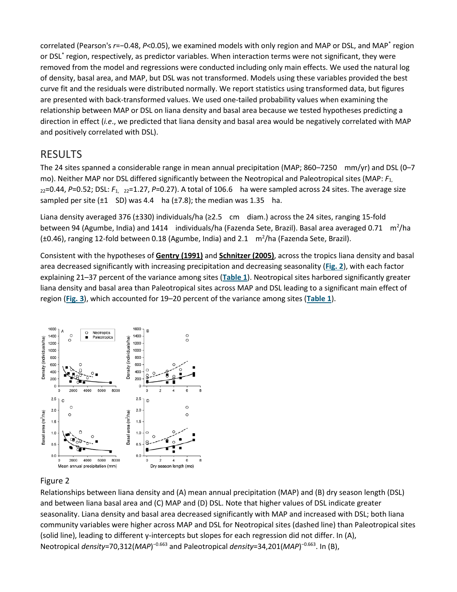correlated (Pearson's *r*=−0.48, *P*<0.05), we examined models with only region and MAP or DSL, and MAP\* region or DSL\* region, respectively, as predictor variables. When interaction terms were not significant, they were removed from the model and regressions were conducted including only main effects. We used the natural log of density, basal area, and MAP, but DSL was not transformed. Models using these variables provided the best curve fit and the residuals were distributed normally. We report statistics using transformed data, but figures are presented with back-transformed values. We used one-tailed probability values when examining the relationship between MAP or DSL on liana density and basal area because we tested hypotheses predicting a direction in effect (*i.e*., we predicted that liana density and basal area would be negatively correlated with MAP and positively correlated with DSL).

# RESULTS

The 24 sites spanned a considerable range in mean annual precipitation (MAP; 860–7250 mm/yr) and DSL (0–7 mo). Neither MAP nor DSL differed significantly between the Neotropical and Paleotropical sites (MAP: *F*1,  $_{22}$ =0.44, P=0.52; DSL:  $F_{1, 22}$ =1.27, P=0.27). A total of 106.6 ha were sampled across 24 sites. The average size sampled per site  $(\pm 1 \quad SD)$  was 4.4 ha  $(\pm 7.8)$ ; the median was 1.35 ha.

Liana density averaged 376 (±330) individuals/ha (≥2.5 cm diam.) across the 24 sites, ranging 15-fold between 94 (Agumbe, India) and 1414 individuals/ha (Fazenda Sete, Brazil). Basal area averaged 0.71 m<sup>2</sup>/ha  $(\pm 0.46)$ , ranging 12-fold between 0.18 (Agumbe, India) and 2.1  $m^2/h$ a (Fazenda Sete, Brazil).

Consistent with the hypotheses of **[Gentry \(1991\)](https://onlinelibrary.wiley.com/doi/full/10.1111/j.1744-7429.2009.00589.x#b19)** and **[Schnitzer \(2005\)](https://onlinelibrary.wiley.com/doi/full/10.1111/j.1744-7429.2009.00589.x#b47)**, across the tropics liana density and basal area decreased significantly with increasing precipitation and decreasing seasonality (**[Fig. 2](https://onlinelibrary.wiley.com/doi/full/10.1111/j.1744-7429.2009.00589.x#f2)**), with each factor explaining 21–37 percent of the variance among sites (**[Table 1](https://onlinelibrary.wiley.com/doi/full/10.1111/j.1744-7429.2009.00589.x#t1)**). Neotropical sites harbored significantly greater liana density and basal area than Paleotropical sites across MAP and DSL leading to a significant main effect of region (**[Fig. 3](https://onlinelibrary.wiley.com/doi/full/10.1111/j.1744-7429.2009.00589.x#f3)**), which accounted for 19–20 percent of the variance among sites (**[Table 1](https://onlinelibrary.wiley.com/doi/full/10.1111/j.1744-7429.2009.00589.x#t1)**).



#### Figure 2

Relationships between liana density and (A) mean annual precipitation (MAP) and (B) dry season length (DSL) and between liana basal area and (C) MAP and (D) DSL. Note that higher values of DSL indicate greater seasonality. Liana density and basal area decreased significantly with MAP and increased with DSL; both liana community variables were higher across MAP and DSL for Neotropical sites (dashed line) than Paleotropical sites (solid line), leading to different y-intercepts but slopes for each regression did not differ. In (A), Neotropical *density*=70,312(*MAP*)<sup>-0.663</sup> and Paleotropical *density*=34,201(*MAP*)<sup>-0.663</sup>. In (B),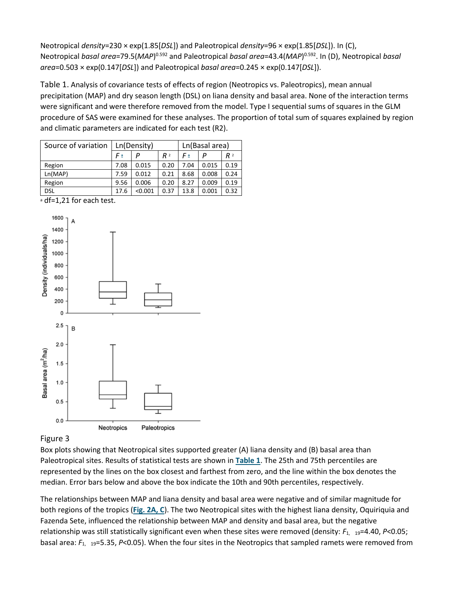Neotropical *density*=230 × exp(1.85[*DSL*]) and Paleotropical *density*=96 × exp(1.85[*DSL*]). In (C), Neotropical *basal area=79.5(MAP*)<sup>0.592</sup> and Paleotropical *basal area*=43.4(*MAP*)<sup>0.592</sup>. In (D), Neotropical *basal area*=0.503 × exp(0.147[*DSL*]) and Paleotropical *basal area*=0.245 × exp(0.147[*DSL*]).

Table 1. Analysis of covariance tests of effects of region (Neotropics vs. Paleotropics), mean annual precipitation (MAP) and dry season length (DSL) on liana density and basal area. None of the interaction terms were significant and were therefore removed from the model. Type I sequential sums of squares in the GLM procedure of SAS were examined for these analyses. The proportion of total sum of squares explained by region and climatic parameters are indicated for each test (R2).

| Source of variation | Ln(Density) |         |                | Ln(Basal area) |       |                |
|---------------------|-------------|---------|----------------|----------------|-------|----------------|
|                     | $F_a$       | P       | R <sup>2</sup> | Fª             | P     | R <sup>2</sup> |
| Region              | 7.08        | 0.015   | 0.20           | 7.04           | 0.015 | 0.19           |
| Ln(MAP)             | 7.59        | 0.012   | 0.21           | 8.68           | 0.008 | 0.24           |
| Region              | 9.56        | 0.006   | 0.20           | 8.27           | 0.009 | 0.19           |
| dsl                 | 17.6        | < 0.001 | 0.37           | 13.8           | 0.001 | 0.32           |

a df=1,21 for each test.



#### Figure 3

Box plots showing that Neotropical sites supported greater (A) liana density and (B) basal area than Paleotropical sites. Results of statistical tests are shown in **[Table 1](https://onlinelibrary.wiley.com/doi/full/10.1111/j.1744-7429.2009.00589.x#t1)**. The 25th and 75th percentiles are represented by the lines on the box closest and farthest from zero, and the line within the box denotes the median. Error bars below and above the box indicate the 10th and 90th percentiles, respectively.

The relationships between MAP and liana density and basal area were negative and of similar magnitude for both regions of the tropics (**[Fig. 2A, C](https://onlinelibrary.wiley.com/doi/full/10.1111/j.1744-7429.2009.00589.x#f2)**). The two Neotropical sites with the highest liana density, Oquiriquia and Fazenda Sete, influenced the relationship between MAP and density and basal area, but the negative relationship was still statistically significant even when these sites were removed (density:  $F_{1, 19}$ =4.40, *P*<0.05; basal area: *F*1, 19=5.35, *P*<0.05). When the four sites in the Neotropics that sampled ramets were removed from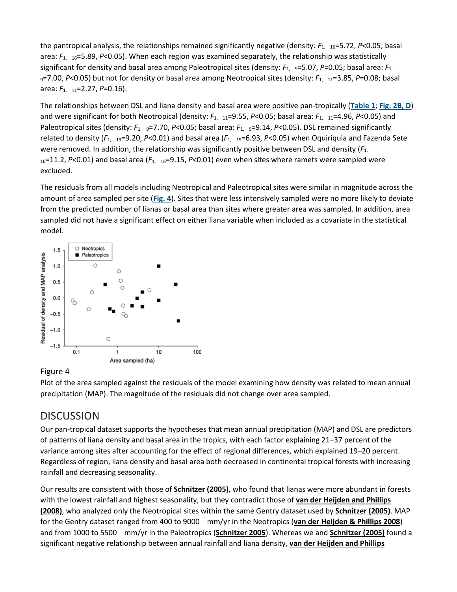the pantropical analysis, the relationships remained significantly negative (density: *F*1, 16=5.72, *P*<0.05; basal area: *F*1, 16=5.89, *P*<0.05). When each region was examined separately, the relationship was statistically significant for density and basal area among Paleotropical sites (density:  $F_1$ , 9=5.07, P=0.05; basal area:  $F_1$ , 9=7.00, *P*<0.05) but not for density or basal area among Neotropical sites (density: *F*1, 11=3.85, *P*=0.08; basal area: *F*1, 11=2.27, *P*=0.16).

The relationships between DSL and liana density and basal area were positive pan-tropically (**[Table 1](https://onlinelibrary.wiley.com/doi/full/10.1111/j.1744-7429.2009.00589.x#t1)**; **[Fig. 2B, D](https://onlinelibrary.wiley.com/doi/full/10.1111/j.1744-7429.2009.00589.x#f2)**) and were significant for both Neotropical (density:  $F_{1, 11}$ =9.55, *P*<0.05; basal area:  $F_{1, 11}$ =4.96, *P*<0.05) and Paleotropical sites (density:  $F_{1}$ ,  $g=7.70$ ,  $P<0.05$ ; basal area:  $F_{1}$ ,  $g=9.14$ ,  $P<0.05$ ). DSL remained significantly related to density ( $F_{1}$ , 19=9.20,  $P<0.01$ ) and basal area ( $F_{1}$ , 19=6.93,  $P<0.05$ ) when Oquiriquia and Fazenda Sete were removed. In addition, the relationship was significantly positive between DSL and density (*F*1, 16=11.2, *P*<0.01) and basal area (*F*1, 16=9.15, *P*<0.01) even when sites where ramets were sampled were excluded.

The residuals from all models including Neotropical and Paleotropical sites were similar in magnitude across the amount of area sampled per site (**[Fig. 4](https://onlinelibrary.wiley.com/doi/full/10.1111/j.1744-7429.2009.00589.x#f4)**). Sites that were less intensively sampled were no more likely to deviate from the predicted number of lianas or basal area than sites where greater area was sampled. In addition, area sampled did not have a significant effect on either liana variable when included as a covariate in the statistical model.



#### Figure 4

Plot of the area sampled against the residuals of the model examining how density was related to mean annual precipitation (MAP). The magnitude of the residuals did not change over area sampled.

# **DISCUSSION**

Our pan-tropical dataset supports the hypotheses that mean annual precipitation (MAP) and DSL are predictors of patterns of liana density and basal area in the tropics, with each factor explaining 21–37 percent of the variance among sites after accounting for the effect of regional differences, which explained 19–20 percent. Regardless of region, liana density and basal area both decreased in continental tropical forests with increasing rainfall and decreasing seasonality.

Our results are consistent with those of **[Schnitzer \(2005\)](https://onlinelibrary.wiley.com/doi/full/10.1111/j.1744-7429.2009.00589.x#b47)**, who found that lianas were more abundant in forests with the lowest rainfall and highest seasonality, but they contradict those of **[van der Heijden and Phillips](https://onlinelibrary.wiley.com/doi/full/10.1111/j.1744-7429.2009.00589.x#b54)  [\(2008\)](https://onlinelibrary.wiley.com/doi/full/10.1111/j.1744-7429.2009.00589.x#b54)**, who analyzed only the Neotropical sites within the same Gentry dataset used by **[Schnitzer \(2005\)](https://onlinelibrary.wiley.com/doi/full/10.1111/j.1744-7429.2009.00589.x#b47)**. MAP for the Gentry dataset ranged from 400 to 9000 mm/yr in the Neotropics (**[van der Heijden](https://onlinelibrary.wiley.com/doi/full/10.1111/j.1744-7429.2009.00589.x#b54) & Phillips 2008**) and from 1000 to 5500 mm/yr in the Paleotropics (**[Schnitzer 2005](https://onlinelibrary.wiley.com/doi/full/10.1111/j.1744-7429.2009.00589.x#b47)**). Whereas we and **[Schnitzer \(2005\)](https://onlinelibrary.wiley.com/doi/full/10.1111/j.1744-7429.2009.00589.x#b47)** found a significant negative relationship between annual rainfall and liana density, **[van der Heijden and Phillips](https://onlinelibrary.wiley.com/doi/full/10.1111/j.1744-7429.2009.00589.x#b54)**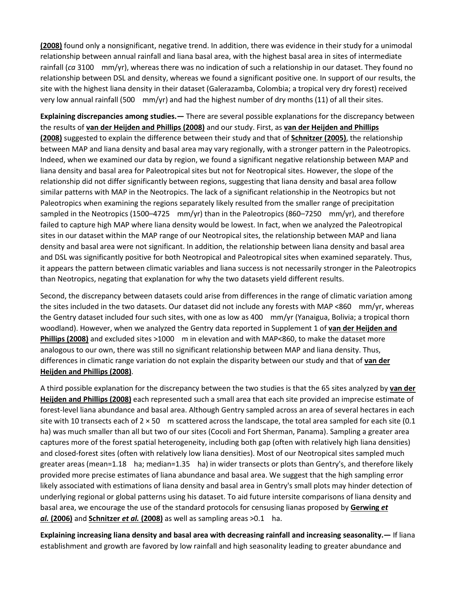**[\(2008\)](https://onlinelibrary.wiley.com/doi/full/10.1111/j.1744-7429.2009.00589.x#b54)** found only a nonsignificant, negative trend. In addition, there was evidence in their study for a unimodal relationship between annual rainfall and liana basal area, with the highest basal area in sites of intermediate rainfall (*ca* 3100 mm/yr), whereas there was no indication of such a relationship in our dataset. They found no relationship between DSL and density, whereas we found a significant positive one. In support of our results, the site with the highest liana density in their dataset (Galerazamba, Colombia; a tropical very dry forest) received very low annual rainfall (500 mm/yr) and had the highest number of dry months (11) of all their sites.

**Explaining discrepancies among studies.—** There are several possible explanations for the discrepancy between the results of **[van der Heijden and Phillips \(2008\)](https://onlinelibrary.wiley.com/doi/full/10.1111/j.1744-7429.2009.00589.x#b54)** and our study. First, as **[van der Heijden and Phillips](https://onlinelibrary.wiley.com/doi/full/10.1111/j.1744-7429.2009.00589.x#b54)  [\(2008\)](https://onlinelibrary.wiley.com/doi/full/10.1111/j.1744-7429.2009.00589.x#b54)** suggested to explain the difference between their study and that of **[Schnitzer \(2005\)](https://onlinelibrary.wiley.com/doi/full/10.1111/j.1744-7429.2009.00589.x#b47)**, the relationship between MAP and liana density and basal area may vary regionally, with a stronger pattern in the Paleotropics. Indeed, when we examined our data by region, we found a significant negative relationship between MAP and liana density and basal area for Paleotropical sites but not for Neotropical sites. However, the slope of the relationship did not differ significantly between regions, suggesting that liana density and basal area follow similar patterns with MAP in the Neotropics. The lack of a significant relationship in the Neotropics but not Paleotropics when examining the regions separately likely resulted from the smaller range of precipitation sampled in the Neotropics (1500–4725 mm/yr) than in the Paleotropics (860–7250 mm/yr), and therefore failed to capture high MAP where liana density would be lowest. In fact, when we analyzed the Paleotropical sites in our dataset within the MAP range of our Neotropical sites, the relationship between MAP and liana density and basal area were not significant. In addition, the relationship between liana density and basal area and DSL was significantly positive for both Neotropical and Paleotropical sites when examined separately. Thus, it appears the pattern between climatic variables and liana success is not necessarily stronger in the Paleotropics than Neotropics, negating that explanation for why the two datasets yield different results.

Second, the discrepancy between datasets could arise from differences in the range of climatic variation among the sites included in the two datasets. Our dataset did not include any forests with MAP <860 mm/yr, whereas the Gentry dataset included four such sites, with one as low as 400 mm/yr (Yanaigua, Bolivia; a tropical thorn woodland). However, when we analyzed the Gentry data reported in Supplement 1 of **[van der Heijden and](https://onlinelibrary.wiley.com/doi/full/10.1111/j.1744-7429.2009.00589.x#b54)  [Phillips \(2008\)](https://onlinelibrary.wiley.com/doi/full/10.1111/j.1744-7429.2009.00589.x#b54)** and excluded sites >1000 m in elevation and with MAP<860, to make the dataset more analogous to our own, there was still no significant relationship between MAP and liana density. Thus, differences in climatic range variation do not explain the disparity between our study and that of **[van der](https://onlinelibrary.wiley.com/doi/full/10.1111/j.1744-7429.2009.00589.x#b54)  [Heijden and Phillips \(2008\)](https://onlinelibrary.wiley.com/doi/full/10.1111/j.1744-7429.2009.00589.x#b54)**.

A third possible explanation for the discrepancy between the two studies is that the 65 sites analyzed by **[van der](https://onlinelibrary.wiley.com/doi/full/10.1111/j.1744-7429.2009.00589.x#b54)  [Heijden and Phillips](https://onlinelibrary.wiley.com/doi/full/10.1111/j.1744-7429.2009.00589.x#b54) (2008)** each represented such a small area that each site provided an imprecise estimate of forest-level liana abundance and basal area. Although Gentry sampled across an area of several hectares in each site with 10 transects each of  $2 \times 50$  m scattered across the landscape, the total area sampled for each site (0.1 ha) was much smaller than all but two of our sites (Cocoli and Fort Sherman, Panama). Sampling a greater area captures more of the forest spatial heterogeneity, including both gap (often with relatively high liana densities) and closed-forest sites (often with relatively low liana densities). Most of our Neotropical sites sampled much greater areas (mean=1.18 ha; median=1.35 ha) in wider transects or plots than Gentry's, and therefore likely provided more precise estimates of liana abundance and basal area. We suggest that the high sampling error likely associated with estimations of liana density and basal area in Gentry's small plots may hinder detection of underlying regional or global patterns using his dataset. To aid future intersite comparisons of liana density and basal area, we encourage the use of the standard protocols for censusing lianas proposed by **[Gerwing](https://onlinelibrary.wiley.com/doi/full/10.1111/j.1744-7429.2009.00589.x#b21)** *et al.* **[\(2006\)](https://onlinelibrary.wiley.com/doi/full/10.1111/j.1744-7429.2009.00589.x#b21)** and **[Schnitzer](https://onlinelibrary.wiley.com/doi/full/10.1111/j.1744-7429.2009.00589.x#b52)** *et al.* **(2008)** as well as sampling areas >0.1 ha.

**Explaining increasing liana density and basal area with decreasing rainfall and increasing seasonality.—** If liana establishment and growth are favored by low rainfall and high seasonality leading to greater abundance and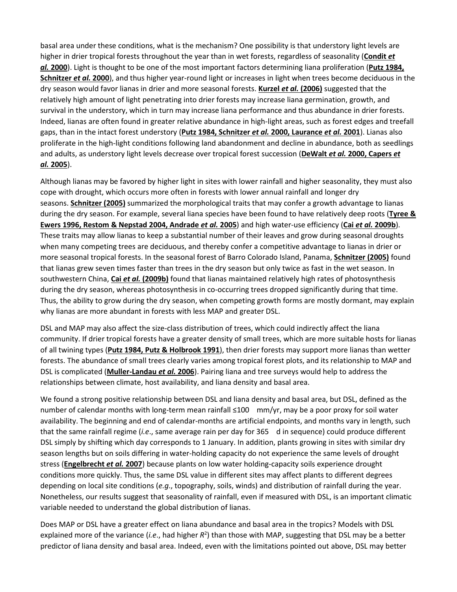basal area under these conditions, what is the mechanism? One possibility is that understory light levels are higher in drier tropical forests throughout the year than in wet forests, regardless of seasonality (**[Condit](https://onlinelibrary.wiley.com/doi/full/10.1111/j.1744-7429.2009.00589.x#b11)** *et al.* **[2000](https://onlinelibrary.wiley.com/doi/full/10.1111/j.1744-7429.2009.00589.x#b11)**). Light is thought to be one of the most important factors determining liana proliferation (**[Putz 1984,](https://onlinelibrary.wiley.com/doi/full/10.1111/j.1744-7429.2009.00589.x#b38%20#b50)  [Schnitzer](https://onlinelibrary.wiley.com/doi/full/10.1111/j.1744-7429.2009.00589.x#b38%20#b50)** *et al.* **2000**), and thus higher year-round light or increases in light when trees become deciduous in the dry season would favor lianas in drier and more seasonal forests. **Kurzel** *et al.* **[\(2006\)](https://onlinelibrary.wiley.com/doi/full/10.1111/j.1744-7429.2009.00589.x#b24)** suggested that the relatively high amount of light penetrating into drier forests may increase liana germination, growth, and survival in the understory, which in turn may increase liana performance and thus abundance in drier forests. Indeed, lianas are often found in greater relative abundance in high-light areas, such as forest edges and treefall gaps, than in the intact forest understory (**[Putz 1984, Schnitzer](https://onlinelibrary.wiley.com/doi/full/10.1111/j.1744-7429.2009.00589.x#b38%20#b50%20#b25)** *et al.* **2000, Laurance** *et al.* **2001**). Lianas also proliferate in the high-light conditions following land abandonment and decline in abundance, both as seedlings and adults, as understory light levels decrease over tropical forest succession (**DeWalt** *et al.* **[2000, Capers](https://onlinelibrary.wiley.com/doi/full/10.1111/j.1744-7429.2009.00589.x#b14%20#b9)** *et al.* **[2005](https://onlinelibrary.wiley.com/doi/full/10.1111/j.1744-7429.2009.00589.x#b14%20#b9)**).

Although lianas may be favored by higher light in sites with lower rainfall and higher seasonality, they must also cope with drought, which occurs more often in forests with lower annual rainfall and longer dry seasons. **[Schnitzer](https://onlinelibrary.wiley.com/doi/full/10.1111/j.1744-7429.2009.00589.x#b47) (2005)** summarized the morphological traits that may confer a growth advantage to lianas during the dry season. For example, several liana species have been found to have relatively deep roots (**[Tyree &](https://onlinelibrary.wiley.com/doi/full/10.1111/j.1744-7429.2009.00589.x#b53%20#b44%20#b2)  [Ewers 1996, Restom & Nepstad 2004, Andrade](https://onlinelibrary.wiley.com/doi/full/10.1111/j.1744-7429.2009.00589.x#b53%20#b44%20#b2)** *et al.* **2005**) and high water-use efficiency (**Cai** *et al.* **[2009b](https://onlinelibrary.wiley.com/doi/full/10.1111/j.1744-7429.2009.00589.x#b7)**). These traits may allow lianas to keep a substantial number of their leaves and grow during seasonal droughts when many competing trees are deciduous, and thereby confer a competitive advantage to lianas in drier or more seasonal tropical forests. In the seasonal forest of Barro Colorado Island, Panama, **[Schnitzer \(2005\)](https://onlinelibrary.wiley.com/doi/full/10.1111/j.1744-7429.2009.00589.x#b47)** found that lianas grew seven times faster than trees in the dry season but only twice as fast in the wet season. In southwestern China, **Cai** *et al.* **[\(2009b\)](https://onlinelibrary.wiley.com/doi/full/10.1111/j.1744-7429.2009.00589.x#b7)** found that lianas maintained relatively high rates of photosynthesis during the dry season, whereas photosynthesis in co-occurring trees dropped significantly during that time. Thus, the ability to grow during the dry season, when competing growth forms are mostly dormant, may explain why lianas are more abundant in forests with less MAP and greater DSL.

DSL and MAP may also affect the size-class distribution of trees, which could indirectly affect the liana community. If drier tropical forests have a greater density of small trees, which are more suitable hosts for lianas of all twining types (**[Putz 1984, Putz & Holbrook 1991](https://onlinelibrary.wiley.com/doi/full/10.1111/j.1744-7429.2009.00589.x#b38%20#b40)**), then drier forests may support more lianas than wetter forests. The abundance of small trees clearly varies among tropical forest plots, and its relationship to MAP and DSL is complicated (**[Muller-Landau](https://onlinelibrary.wiley.com/doi/full/10.1111/j.1744-7429.2009.00589.x#b28)** *et al.* **2006**). Pairing liana and tree surveys would help to address the relationships between climate, host availability, and liana density and basal area.

We found a strong positive relationship between DSL and liana density and basal area, but DSL, defined as the number of calendar months with long‐term mean rainfall ≤100 mm/yr, may be a poor proxy for soil water availability. The beginning and end of calendar-months are artificial endpoints, and months vary in length, such that the same rainfall regime (*i.e*., same average rain per day for 365 d in sequence) could produce different DSL simply by shifting which day corresponds to 1 January. In addition, plants growing in sites with similar dry season lengths but on soils differing in water-holding capacity do not experience the same levels of drought stress (**[Engelbrecht](https://onlinelibrary.wiley.com/doi/full/10.1111/j.1744-7429.2009.00589.x#b15)** *et al.* **2007**) because plants on low water holding-capacity soils experience drought conditions more quickly. Thus, the same DSL value in different sites may affect plants to different degrees depending on local site conditions (*e.g*., topography, soils, winds) and distribution of rainfall during the year. Nonetheless, our results suggest that seasonality of rainfall, even if measured with DSL, is an important climatic variable needed to understand the global distribution of lianas.

Does MAP or DSL have a greater effect on liana abundance and basal area in the tropics? Models with DSL explained more of the variance (*i.e.*, had higher  $R^2$ ) than those with MAP, suggesting that DSL may be a better predictor of liana density and basal area. Indeed, even with the limitations pointed out above, DSL may better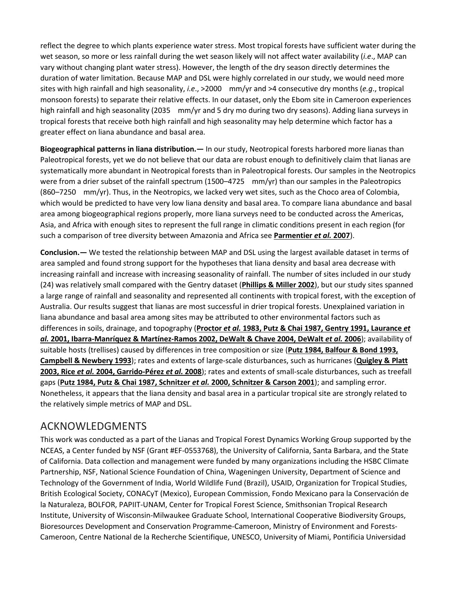reflect the degree to which plants experience water stress. Most tropical forests have sufficient water during the wet season, so more or less rainfall during the wet season likely will not affect water availability (*i.e*., MAP can vary without changing plant water stress). However, the length of the dry season directly determines the duration of water limitation. Because MAP and DSL were highly correlated in our study, we would need more sites with high rainfall and high seasonality, *i.e*., >2000 mm/yr and >4 consecutive dry months (*e.g*., tropical monsoon forests) to separate their relative effects. In our dataset, only the Ebom site in Cameroon experiences high rainfall and high seasonality (2035 mm/yr and 5 dry mo during two dry seasons). Adding liana surveys in tropical forests that receive both high rainfall and high seasonality may help determine which factor has a greater effect on liana abundance and basal area.

**Biogeographical patterns in liana distribution.—** In our study, Neotropical forests harbored more lianas than Paleotropical forests, yet we do not believe that our data are robust enough to definitively claim that lianas are systematically more abundant in Neotropical forests than in Paleotropical forests. Our samples in the Neotropics were from a drier subset of the rainfall spectrum (1500–4725 mm/yr) than our samples in the Paleotropics (860–7250 mm/yr). Thus, in the Neotropics, we lacked very wet sites, such as the Choco area of Colombia, which would be predicted to have very low liana density and basal area. To compare liana abundance and basal area among biogeographical regions properly, more liana surveys need to be conducted across the Americas, Asia, and Africa with enough sites to represent the full range in climatic conditions present in each region (for such a comparison of tree diversity between Amazonia and Africa see **[Parmentier](https://onlinelibrary.wiley.com/doi/full/10.1111/j.1744-7429.2009.00589.x#b32)** *et al.* **2007**).

**Conclusion.—** We tested the relationship between MAP and DSL using the largest available dataset in terms of area sampled and found strong support for the hypotheses that liana density and basal area decrease with increasing rainfall and increase with increasing seasonality of rainfall. The number of sites included in our study (24) was relatively small compared with the Gentry dataset (**[Phillips & Miller 2002](https://onlinelibrary.wiley.com/doi/full/10.1111/j.1744-7429.2009.00589.x#b35)**), but our study sites spanned a large range of rainfall and seasonality and represented all continents with tropical forest, with the exception of Australia. Our results suggest that lianas are most successful in drier tropical forests. Unexplained variation in liana abundance and basal area among sites may be attributed to other environmental factors such as differences in soils, drainage, and topography (**Proctor** *et al.* **[1983, Putz & Chai 1987, Gentry 1991, Laurance](https://onlinelibrary.wiley.com/doi/full/10.1111/j.1744-7429.2009.00589.x#b37%20#b39%20#b19%20#b25%20#b23%20#b12%20#b13)** *et al.* **[2001, Ibarra-Manríquez & Martínez-Ramos 2002, DeWalt & Chave 2004, DeWalt](https://onlinelibrary.wiley.com/doi/full/10.1111/j.1744-7429.2009.00589.x#b37%20#b39%20#b19%20#b25%20#b23%20#b12%20#b13)** *et al.* **2006**); availability of suitable hosts (trellises) caused by differences in tree composition or size (**[Putz 1984, Balfour & Bond 1993,](https://onlinelibrary.wiley.com/doi/full/10.1111/j.1744-7429.2009.00589.x#b38%20#b3%20#b8)  [Campbell & Newbery 1993](https://onlinelibrary.wiley.com/doi/full/10.1111/j.1744-7429.2009.00589.x#b38%20#b3%20#b8)**); rates and extents of large-scale disturbances, such as hurricanes (**[Quigley & Platt](https://onlinelibrary.wiley.com/doi/full/10.1111/j.1744-7429.2009.00589.x#b41%20#b45%20#b16)  2003, Rice** *et al.* **[2004, Garrido-Pérez](https://onlinelibrary.wiley.com/doi/full/10.1111/j.1744-7429.2009.00589.x#b41%20#b45%20#b16)** *et al.* **2008**); rates and extents of small-scale disturbances, such as treefall gaps (**[Putz 1984, Putz & Chai 1987, Schnitzer](https://onlinelibrary.wiley.com/doi/full/10.1111/j.1744-7429.2009.00589.x#b38%20#b39%20#b50%20#b49)** *et al.* **2000, Schnitzer & Carson 2001**); and sampling error. Nonetheless, it appears that the liana density and basal area in a particular tropical site are strongly related to the relatively simple metrics of MAP and DSL.

# ACKNOWLEDGMENTS

This work was conducted as a part of the Lianas and Tropical Forest Dynamics Working Group supported by the NCEAS, a Center funded by NSF (Grant #EF-0553768), the University of California, Santa Barbara, and the State of California. Data collection and management were funded by many organizations including the HSBC Climate Partnership, NSF, National Science Foundation of China, Wageningen University, Department of Science and Technology of the Government of India, World Wildlife Fund (Brazil), USAID, Organization for Tropical Studies, British Ecological Society, CONACyT (Mexico), European Commission, Fondo Mexicano para la Conservación de la Naturaleza, BOLFOR, PAPIIT-UNAM, Center for Tropical Forest Science, Smithsonian Tropical Research Institute, University of Wisconsin-Milwaukee Graduate School, International Cooperative Biodiversity Groups, Bioresources Development and Conservation Programme-Cameroon, Ministry of Environment and Forests-Cameroon, Centre National de la Recherche Scientifique, UNESCO, University of Miami, Pontificia Universidad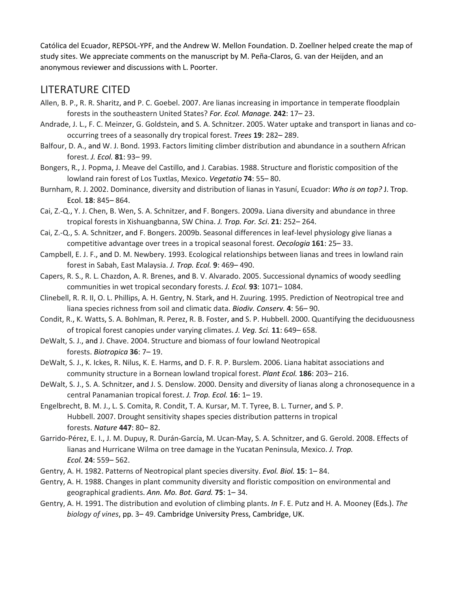Católica del Ecuador, REPSOL-YPF, and the Andrew W. Mellon Foundation. D. Zoellner helped create the map of study sites. We appreciate comments on the manuscript by M. Peña-Claros, G. van der Heijden, and an anonymous reviewer and discussions with L. Poorter.

# LITERATURE CITED

- Allen, B. P., R. R. Sharitz, and P. C. Goebel. 2007. Are lianas increasing in importance in temperate floodplain forests in the southeastern United States? *For. Ecol. Manage.* **242**: 17– 23.
- Andrade, J. L., F. C. Meinzer, G. Goldstein, and S. A. Schnitzer. 2005. Water uptake and transport in lianas and cooccurring trees of a seasonally dry tropical forest. *Trees* **19**: 282– 289.
- Balfour, D. A., and W. J. Bond. 1993. Factors limiting climber distribution and abundance in a southern African forest. *J. Ecol.* **81**: 93– 99.
- Bongers, R., J. Popma, J. Meave del Castillo, and J. Carabias. 1988. Structure and floristic composition of the lowland rain forest of Los Tuxtlas, Mexico. *Vegetatio* **74**: 55– 80.
- Burnham, R. J. 2002. Dominance, diversity and distribution of lianas in Yasuní, Ecuador: *Who is on top?* J. Trop. Ecol. **18**: 845– 864.
- Cai, Z.-Q., Y. J. Chen, B. Wen, S. A. Schnitzer, and F. Bongers. 2009a. Liana diversity and abundance in three tropical forests in Xishuangbanna, SW China. *J. Trop. For. Sci*. **21**: 252– 264.
- Cai, Z.-Q., S. A. Schnitzer, and F. Bongers. 2009b. Seasonal differences in leaf-level physiology give lianas a competitive advantage over trees in a tropical seasonal forest. *Oecologia* **161**: 25– 33.
- Campbell, E. J. F., and D. M. Newbery. 1993. Ecological relationships between lianas and trees in lowland rain forest in Sabah, East Malaysia. *J. Trop. Ecol.* **9**: 469– 490.
- Capers, R. S., R. L. Chazdon, A. R. Brenes, and B. V. Alvarado. 2005. Successional dynamics of woody seedling communities in wet tropical secondary forests. *J. Ecol.* **93**: 1071– 1084.
- Clinebell, R. R. II, O. L. Phillips, A. H. Gentry, N. Stark, and H. Zuuring. 1995. Prediction of Neotropical tree and liana species richness from soil and climatic data. *Biodiv. Conserv.* **4**: 56– 90.
- Condit, R., K. Watts, S. A. Bohlman, R. Perez, R. B. Foster, and S. P. Hubbell. 2000. Quantifying the deciduousness of tropical forest canopies under varying climates. *J. Veg. Sci.* **11**: 649– 658.
- DeWalt, S. J., and J. Chave. 2004. Structure and biomass of four lowland Neotropical forests. *Biotropica* **36**: 7– 19.
- DeWalt, S. J., K. Ickes, R. Nilus, K. E. Harms, and D. F. R. P. Burslem. 2006. Liana habitat associations and community structure in a Bornean lowland tropical forest. *Plant Ecol.* **186**: 203– 216.
- DeWalt, S. J., S. A. Schnitzer, and J. S. Denslow. 2000. Density and diversity of lianas along a chronosequence in a central Panamanian tropical forest. *J. Trop. Ecol.* **16**: 1– 19.
- Engelbrecht, B. M. J., L. S. Comita, R. Condit, T. A. Kursar, M. T. Tyree, B. L. Turner, and S. P. Hubbell. 2007. Drought sensitivity shapes species distribution patterns in tropical forests. *Nature* **447**: 80– 82.
- Garrido-Pérez, E. I., J. M. Dupuy, R. Durán-García, M. Ucan-May, S. A. Schnitzer, and G. Gerold. 2008. Effects of lianas and Hurricane Wilma on tree damage in the Yucatan Peninsula, Mexico. *J. Trop. Ecol.* **24**: 559– 562.
- Gentry, A. H. 1982. Patterns of Neotropical plant species diversity. *Evol. Biol.* **15**: 1– 84.
- Gentry, A. H. 1988. Changes in plant community diversity and floristic composition on environmental and geographical gradients. *Ann. Mo. Bot. Gard.* **75**: 1– 34.
- Gentry, A. H. 1991. The distribution and evolution of climbing plants. *In* F. E. Putz and H. A. Mooney (Eds.). *The biology of vines*, pp. 3– 49. Cambridge University Press, Cambridge, UK.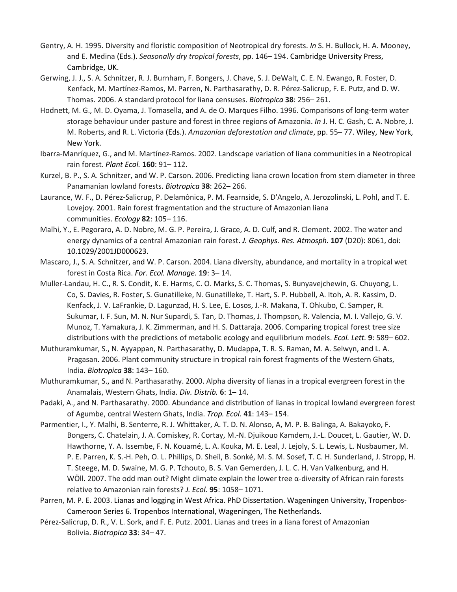- Gentry, A. H. 1995. Diversity and floristic composition of Neotropical dry forests. *In* S. H. Bullock, H. A. Mooney, and E. Medina (Eds.). *Seasonally dry tropical forests*, pp. 146– 194. Cambridge University Press, Cambridge, UK.
- Gerwing, J. J., S. A. Schnitzer, R. J. Burnham, F. Bongers, J. Chave, S. J. DeWalt, C. E. N. Ewango, R. Foster, D. Kenfack, M. Martínez-Ramos, M. Parren, N. Parthasarathy, D. R. Pérez-Salicrup, F. E. Putz, and D. W. Thomas. 2006. A standard protocol for liana censuses. *Biotropica* **38**: 256– 261.
- Hodnett, M. G., M. D. Oyama, J. Tomasella, and A. de O. Marques Filho. 1996. Comparisons of long-term water storage behaviour under pasture and forest in three regions of Amazonia. *In* J. H. C. Gash, C. A. Nobre, J. M. Roberts, and R. L. Victoria (Eds.). *Amazonian deforestation and climate*, pp. 55– 77. Wiley, New York, New York.
- Ibarra-Manríquez, G., and M. Martínez-Ramos. 2002. Landscape variation of liana communities in a Neotropical rain forest. *Plant Ecol.* **160**: 91– 112.
- Kurzel, B. P., S. A. Schnitzer, and W. P. Carson. 2006. Predicting liana crown location from stem diameter in three Panamanian lowland forests. *Biotropica* **38**: 262– 266.
- Laurance, W. F., D. Pérez-Salicrup, P. Delamônica, P. M. Fearnside, S. D'Angelo, A. Jerozolinski, L. Pohl, and T. E. Lovejoy. 2001. Rain forest fragmentation and the structure of Amazonian liana communities. *Ecology* **82**: 105– 116.
- Malhi, Y., E. Pegoraro, A. D. Nobre, M. G. P. Pereira, J. Grace, A. D. Culf, and R. Clement. 2002. The water and energy dynamics of a central Amazonian rain forest. *J. Geophys. Res. Atmosph.* **107** (D20): 8061, doi: 10.1029/2001JD000623.
- Mascaro, J., S. A. Schnitzer, and W. P. Carson. 2004. Liana diversity, abundance, and mortality in a tropical wet forest in Costa Rica. *For. Ecol. Manage.* **19**: 3– 14.
- Muller-Landau, H. C., R. S. Condit, K. E. Harms, C. O. Marks, S. C. Thomas, S. Bunyavejchewin, G. Chuyong, L. Co, S. Davies, R. Foster, S. Gunatilleke, N. Gunatilleke, T. Hart, S. P. Hubbell, A. Itoh, A. R. Kassim, D. Kenfack, J. V. LaFrankie, D. Lagunzad, H. S. Lee, E. Losos, J.-R. Makana, T. Ohkubo, C. Samper, R. Sukumar, I. F. Sun, M. N. Nur Supardi, S. Tan, D. Thomas, J. Thompson, R. Valencia, M. I. Vallejo, G. V. Munoz, T. Yamakura, J. K. Zimmerman, and H. S. Dattaraja. 2006. Comparing tropical forest tree size distributions with the predictions of metabolic ecology and equilibrium models. *Ecol. Lett.* **9**: 589– 602.
- Muthuramkumar, S., N. Ayyappan, N. Parthasarathy, D. Mudappa, T. R. S. Raman, M. A. Selwyn, and L. A. Pragasan. 2006. Plant community structure in tropical rain forest fragments of the Western Ghats, India. *Biotropica* **38**: 143– 160.
- Muthuramkumar, S., and N. Parthasarathy. 2000. Alpha diversity of lianas in a tropical evergreen forest in the Anamalais, Western Ghats, India. *Div. Distrib.* **6**: 1– 14.
- Padaki, A., and N. Parthasarathy. 2000. Abundance and distribution of lianas in tropical lowland evergreen forest of Agumbe, central Western Ghats, India. *Trop. Ecol.* **41**: 143– 154.
- Parmentier, I., Y. Malhi, B. Senterre, R. J. Whittaker, A. T. D. N. Alonso, A, M. P. B. Balinga, A. Bakayoko, F. Bongers, C. Chatelain, J. A. Comiskey, R. Cortay, M.-N. Djuikouo Kamdem, J.-L. Doucet, L. Gautier, W. D. Hawthorne, Y. A. Issembe, F. N. Kouamé, L. A. Kouka, M. E. Leal, J. Lejoly, S. L. Lewis, L. Nusbaumer, M. P. E. Parren, K. S.-H. Peh, O. L. Phillips, D. Sheil, B. Sonké, M. S. M. Sosef, T. C. H. Sunderland, J. Stropp, H. T. Steege, M. D. Swaine, M. G. P. Tchouto, B. S. Van Gemerden, J. L. C. H. Van Valkenburg, and H. WÖll. 2007. The odd man out? Might climate explain the lower tree α-diversity of African rain forests relative to Amazonian rain forests? *J. Ecol.* **95**: 1058– 1071.
- Parren, M. P. E. 2003. Lianas and logging in West Africa. PhD Dissertation. Wageningen University, Tropenbos-Cameroon Series 6. Tropenbos International, Wageningen, The Netherlands.
- Pérez-Salicrup, D. R., V. L. Sork, and F. E. Putz. 2001. Lianas and trees in a liana forest of Amazonian Bolivia. *Biotropica* **33**: 34– 47.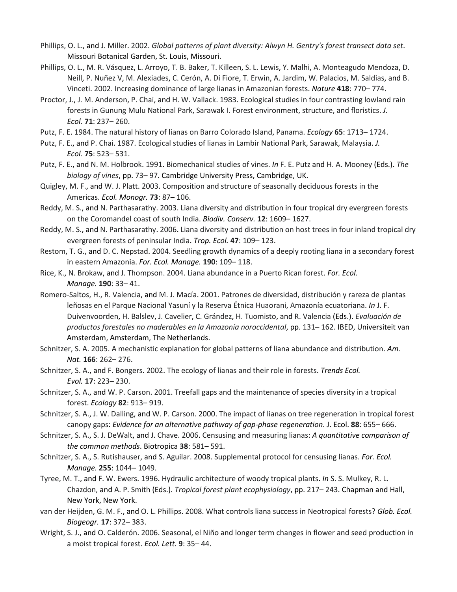- Phillips, O. L., and J. Miller. 2002. *Global patterns of plant diversity: Alwyn H. Gentry's forest transect data set*. Missouri Botanical Garden, St. Louis, Missouri.
- Phillips, O. L., M. R. Vásquez, L. Arroyo, T. B. Baker, T. Killeen, S. L. Lewis, Y. Malhi, A. Monteagudo Mendoza, D. Neill, P. Nuñez V, M. Alexiades, C. Cerón, A. Di Fiore, T. Erwin, A. Jardim, W. Palacios, M. Saldias, and B. Vinceti. 2002. Increasing dominance of large lianas in Amazonian forests. *Nature* **418**: 770– 774.
- Proctor, J., J. M. Anderson, P. Chai, and H. W. Vallack. 1983. Ecological studies in four contrasting lowland rain forests in Gunung Mulu National Park, Sarawak I. Forest environment, structure, and floristics. *J. Ecol.* **71**: 237– 260.
- Putz, F. E. 1984. The natural history of lianas on Barro Colorado Island, Panama. *Ecology* **65**: 1713– 1724.
- Putz, F. E., and P. Chai. 1987. Ecological studies of lianas in Lambir National Park, Sarawak, Malaysia. *J. Ecol.* **75**: 523– 531.
- Putz, F. E., and N. M. Holbrook. 1991. Biomechanical studies of vines. *In* F. E. Putz and H. A. Mooney (Eds.). *The biology of vines*, pp. 73– 97. Cambridge University Press, Cambridge, UK.
- Quigley, M. F., and W. J. Platt. 2003. Composition and structure of seasonally deciduous forests in the Americas. *Ecol. Monogr.* **73**: 87– 106.
- Reddy, M. S., and N. Parthasarathy. 2003. Liana diversity and distribution in four tropical dry evergreen forests on the Coromandel coast of south India. *Biodiv. Conserv.* **12**: 1609– 1627.
- Reddy, M. S., and N. Parthasarathy. 2006. Liana diversity and distribution on host trees in four inland tropical dry evergreen forests of peninsular India. *Trop. Ecol.* **47**: 109– 123.
- Restom, T. G., and D. C. Nepstad. 2004. Seedling growth dynamics of a deeply rooting liana in a secondary forest in eastern Amazonia. *For. Ecol. Manage.* **190**: 109– 118.
- Rice, K., N. Brokaw, and J. Thompson. 2004. Liana abundance in a Puerto Rican forest. *For. Ecol. Manage.* **190**: 33– 41.
- Romero-Saltos, H., R. Valencia, and M. J. Macía. 2001. Patrones de diversidad, distribución y rareza de plantas leñosas en el Parque Nacional Yasuní y la Reserva Étnica Huaorani, Amazonía ecuatoriana. *In* J. F. Duivenvoorden, H. Balslev, J. Cavelier, C. Grández, H. Tuomisto, and R. Valencia (Eds.). *Evaluación de productos forestales no maderables en la Amazonía noroccidental*, pp. 131– 162. IBED, Universiteit van Amsterdam, Amsterdam, The Netherlands.
- Schnitzer, S. A. 2005. A mechanistic explanation for global patterns of liana abundance and distribution. *Am. Nat.* **166**: 262– 276.
- Schnitzer, S. A., and F. Bongers. 2002. The ecology of lianas and their role in forests. *Trends Ecol. Evol.* **17**: 223– 230.
- Schnitzer, S. A., and W. P. Carson. 2001. Treefall gaps and the maintenance of species diversity in a tropical forest. *Ecology* **82**: 913– 919.
- Schnitzer, S. A., J. W. Dalling, and W. P. Carson. 2000. The impact of lianas on tree regeneration in tropical forest canopy gaps: *Evidence for an alternative pathway of gap-phase regeneration*. J. Ecol. **88**: 655– 666.
- Schnitzer, S. A., S. J. DeWalt, and J. Chave. 2006. Censusing and measuring lianas: *A quantitative comparison of the common methods*. Biotropica **38**: 581– 591.
- Schnitzer, S. A., S. Rutishauser, and S. Aguilar. 2008. Supplemental protocol for censusing lianas. *For. Ecol. Manage.* **255**: 1044– 1049.
- Tyree, M. T., and F. W. Ewers. 1996. Hydraulic architecture of woody tropical plants. *In* S. S. Mulkey, R. L. Chazdon, and A. P. Smith (Eds.). *Tropical forest plant ecophysiology*, pp. 217– 243. Chapman and Hall, New York, New York.
- van der Heijden, G. M. F., and O. L. Phillips. 2008. What controls liana success in Neotropical forests? *Glob. Ecol. Biogeogr.* **17**: 372– 383.
- Wright, S. J., and O. Calderón. 2006. Seasonal, el Niño and longer term changes in flower and seed production in a moist tropical forest. *Ecol. Lett.* **9**: 35– 44.